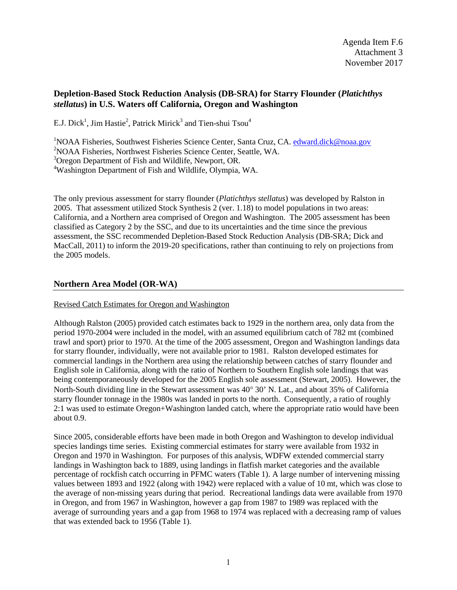# **Depletion-Based Stock Reduction Analysis (DB-SRA) for Starry Flounder (***Platichthys stellatus***) in U.S. Waters off California, Oregon and Washington**

E.J. Dick<sup>1</sup>, Jim Hastie<sup>2</sup>, Patrick Mirick<sup>3</sup> and Tien-shui Tsou<sup>4</sup>

<sup>1</sup>NOAA Fisheries, Southwest Fisheries Science Center, Santa Cruz, CA. [edward.dick@noaa.gov](mailto:edward.dick@noaa.gov) 2 NOAA Fisheries, Northwest Fisheries Science Center, Seattle, WA.

<sup>3</sup>Oregon Department of Fish and Wildlife, Newport, OR.

4 Washington Department of Fish and Wildlife, Olympia, WA.

The only previous assessment for starry flounder (*Platichthys stellatus*) was developed by Ralston in 2005. That assessment utilized Stock Synthesis 2 (ver. 1.18) to model populations in two areas: California, and a Northern area comprised of Oregon and Washington. The 2005 assessment has been classified as Category 2 by the SSC, and due to its uncertainties and the time since the previous assessment, the SSC recommended Depletion-Based Stock Reduction Analysis (DB-SRA; Dick and MacCall, 2011) to inform the 2019-20 specifications, rather than continuing to rely on projections from the 2005 models.

## **Northern Area Model (OR-WA)**

## Revised Catch Estimates for Oregon and Washington

Although Ralston (2005) provided catch estimates back to 1929 in the northern area, only data from the period 1970-2004 were included in the model, with an assumed equilibrium catch of 782 mt (combined trawl and sport) prior to 1970. At the time of the 2005 assessment, Oregon and Washington landings data for starry flounder, individually, were not available prior to 1981. Ralston developed estimates for commercial landings in the Northern area using the relationship between catches of starry flounder and English sole in California, along with the ratio of Northern to Southern English sole landings that was being contemporaneously developed for the 2005 English sole assessment (Stewart, 2005). However, the North-South dividing line in the Stewart assessment was 40° 30' N. Lat., and about 35% of California starry flounder tonnage in the 1980s was landed in ports to the north. Consequently, a ratio of roughly 2:1 was used to estimate Oregon+Washington landed catch, where the appropriate ratio would have been about 0.9.

Since 2005, considerable efforts have been made in both Oregon and Washington to develop individual species landings time series. Existing commercial estimates for starry were available from 1932 in Oregon and 1970 in Washington. For purposes of this analysis, WDFW extended commercial starry landings in Washington back to 1889, using landings in flatfish market categories and the available percentage of rockfish catch occurring in PFMC waters (Table 1). A large number of intervening missing values between 1893 and 1922 (along with 1942) were replaced with a value of 10 mt, which was close to the average of non-missing years during that period. Recreational landings data were available from 1970 in Oregon, and from 1967 in Washington, however a gap from 1987 to 1989 was replaced with the average of surrounding years and a gap from 1968 to 1974 was replaced with a decreasing ramp of values that was extended back to 1956 (Table 1).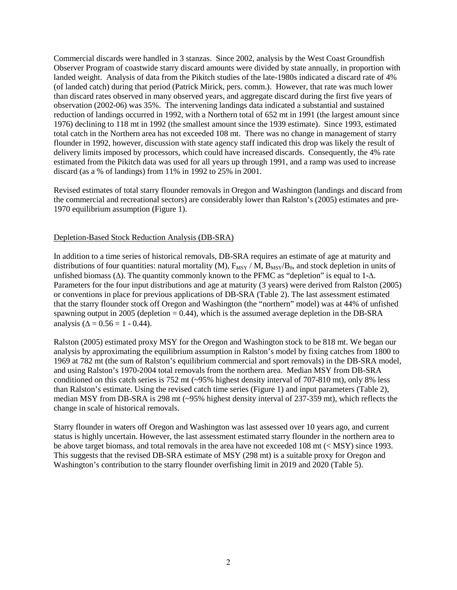Commercial discards were handled in 3 stanzas. Since 2002, analysis by the West Coast Groundfish Observer Program of coastwide starry discard amounts were divided by state annually, in proportion with landed weight. Analysis of data from the Pikitch studies of the late-1980s indicated a discard rate of 4% (of landed catch) during that period (Patrick Mirick, pers. comm.). However, that rate was much lower than discard rates observed in many observed years, and aggregate discard during the first five years of observation (2002-06) was 35%. The intervening landings data indicated a substantial and sustained reduction of landings occurred in 1992, with a Northern total of 652 mt in 1991 (the largest amount since 1976) declining to 118 mt in 1992 (the smallest amount since the 1939 estimate). Since 1993, estimated total catch in the Northern area has not exceeded 108 mt. There was no change in management of starry flounder in 1992, however, discussion with state agency staff indicated this drop was likely the result of delivery limits imposed by processors, which could have increased discards. Consequently, the 4% rate estimated from the Pikitch data was used for all years up through 1991, and a ramp was used to increase discard (as a % of landings) from 11% in 1992 to 25% in 2001.

Revised estimates of total starry flounder removals in Oregon and Washington (landings and discard from the commercial and recreational sectors) are considerably lower than Ralston's (2005) estimates and pre-1970 equilibrium assumption (Figure 1).

#### Depletion-Based Stock Reduction Analysis (DB-SRA)

In addition to a time series of historical removals, DB-SRA requires an estimate of age at maturity and distributions of four quantities: natural mortality (M),  $F_{MSY} / M$ ,  $B_{MSY}/B_0$ , and stock depletion in units of unfished biomass (∆). The quantity commonly known to the PFMC as "depletion" is equal to 1-∆. Parameters for the four input distributions and age at maturity (3 years) were derived from Ralston (2005) or conventions in place for previous applications of DB-SRA (Table 2). The last assessment estimated that the starry flounder stock off Oregon and Washington (the "northern" model) was at 44% of unfished spawning output in 2005 (depletion  $= 0.44$ ), which is the assumed average depletion in the DB-SRA analysis ( $\Delta = 0.56 = 1 - 0.44$ ).

Ralston (2005) estimated proxy MSY for the Oregon and Washington stock to be 818 mt. We began our analysis by approximating the equilibrium assumption in Ralston's model by fixing catches from 1800 to 1969 at 782 mt (the sum of Ralston's equilibrium commercial and sport removals) in the DB-SRA model, and using Ralston's 1970-2004 total removals from the northern area. Median MSY from DB-SRA conditioned on this catch series is 752 mt (~95% highest density interval of 707-810 mt), only 8% less than Ralston's estimate. Using the revised catch time series (Figure 1) and input parameters (Table 2), median MSY from DB-SRA is 298 mt (~95% highest density interval of 237-359 mt), which reflects the change in scale of historical removals.

Starry flounder in waters off Oregon and Washington was last assessed over 10 years ago, and current status is highly uncertain. However, the last assessment estimated starry flounder in the northern area to be above target biomass, and total removals in the area have not exceeded 108 mt (< MSY) since 1993. This suggests that the revised DB-SRA estimate of MSY (298 mt) is a suitable proxy for Oregon and Washington's contribution to the starry flounder overfishing limit in 2019 and 2020 (Table 5).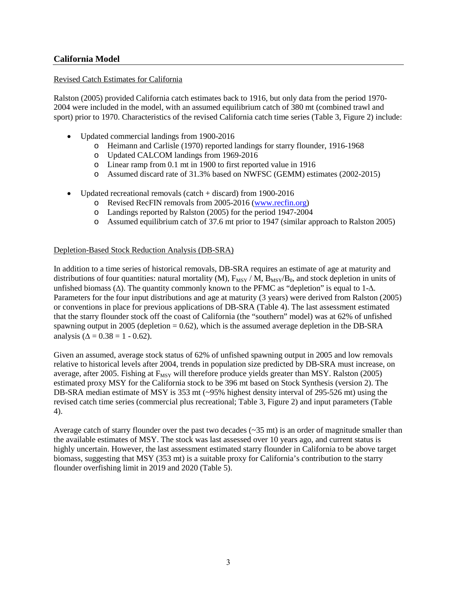# **California Model**

## Revised Catch Estimates for California

Ralston (2005) provided California catch estimates back to 1916, but only data from the period 1970- 2004 were included in the model, with an assumed equilibrium catch of 380 mt (combined trawl and sport) prior to 1970. Characteristics of the revised California catch time series (Table 3, Figure 2) include:

- Updated commercial landings from 1900-2016
	- o Heimann and Carlisle (1970) reported landings for starry flounder, 1916-1968
	- o Updated CALCOM landings from 1969-2016
	- o Linear ramp from 0.1 mt in 1900 to first reported value in 1916
	- o Assumed discard rate of 31.3% based on NWFSC (GEMM) estimates (2002-2015)
- Updated recreational removals (catch + discard) from 1900-2016
	- o Revised RecFIN removals from 2005-2016 [\(www.recfin.org\)](http://www.recfin.org/)
	- o Landings reported by Ralston (2005) for the period 1947-2004
	- o Assumed equilibrium catch of 37.6 mt prior to 1947 (similar approach to Ralston 2005)

## Depletion-Based Stock Reduction Analysis (DB-SRA)

In addition to a time series of historical removals, DB-SRA requires an estimate of age at maturity and distributions of four quantities: natural mortality (M),  $F_{MSY}/M$ ,  $B_{MSY}/B_0$ , and stock depletion in units of unfished biomass ( $\Delta$ ). The quantity commonly known to the PFMC as "depletion" is equal to 1- $\Delta$ . Parameters for the four input distributions and age at maturity (3 years) were derived from Ralston (2005) or conventions in place for previous applications of DB-SRA (Table 4). The last assessment estimated that the starry flounder stock off the coast of California (the "southern" model) was at 62% of unfished spawning output in 2005 (depletion  $= 0.62$ ), which is the assumed average depletion in the DB-SRA analysis ( $\Delta = 0.38 = 1 - 0.62$ ).

Given an assumed, average stock status of 62% of unfished spawning output in 2005 and low removals relative to historical levels after 2004, trends in population size predicted by DB-SRA must increase, on average, after 2005. Fishing at  $F_{MSY}$  will therefore produce yields greater than MSY. Ralston (2005) estimated proxy MSY for the California stock to be 396 mt based on Stock Synthesis (version 2). The DB-SRA median estimate of MSY is 353 mt (~95% highest density interval of 295-526 mt) using the revised catch time series (commercial plus recreational; Table 3, Figure 2) and input parameters (Table 4).

Average catch of starry flounder over the past two decades  $(\sim 35 \text{ mt})$  is an order of magnitude smaller than the available estimates of MSY. The stock was last assessed over 10 years ago, and current status is highly uncertain. However, the last assessment estimated starry flounder in California to be above target biomass, suggesting that MSY (353 mt) is a suitable proxy for California's contribution to the starry flounder overfishing limit in 2019 and 2020 (Table 5).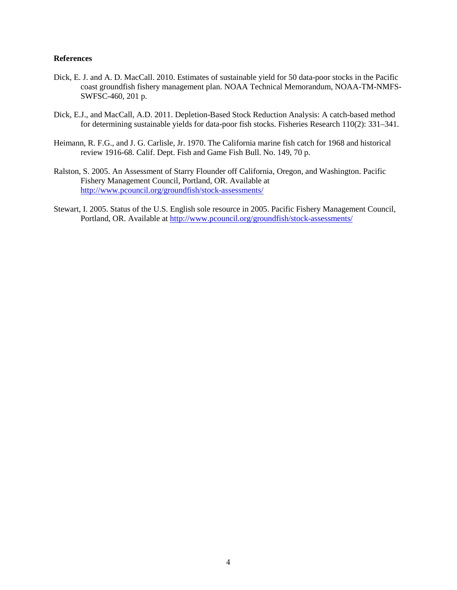#### **References**

- Dick, E. J. and A. D. MacCall. 2010. Estimates of sustainable yield for 50 data-poor stocks in the Pacific coast groundfish fishery management plan. NOAA Technical Memorandum, NOAA-TM-NMFS-SWFSC-460, 201 p.
- Dick, E.J., and MacCall, A.D. 2011. Depletion-Based Stock Reduction Analysis: A catch-based method for determining sustainable yields for data-poor fish stocks. Fisheries Research 110(2): 331–341.
- Heimann, R. F.G., and J. G. Carlisle, Jr. 1970. The California marine fish catch for 1968 and historical review 1916-68. Calif. Dept. Fish and Game Fish Bull. No. 149, 70 p.
- Ralston, S. 2005. An Assessment of Starry Flounder off California, Oregon, and Washington. Pacific Fishery Management Council, Portland, OR. Available at <http://www.pcouncil.org/groundfish/stock-assessments/>
- Stewart, I. 2005. Status of the U.S. English sole resource in 2005. Pacific Fishery Management Council, Portland, OR. Available at<http://www.pcouncil.org/groundfish/stock-assessments/>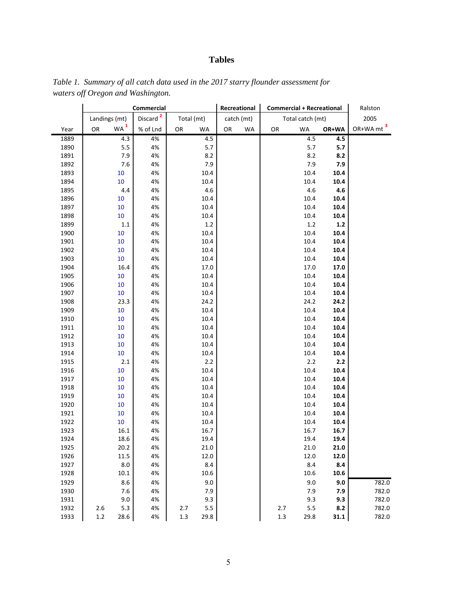# **Tables**

|      | Commercial |                 |                      | Recreational<br><b>Commercial + Recreational</b> |            |    |            |         | Ralston          |       |                       |
|------|------------|-----------------|----------------------|--------------------------------------------------|------------|----|------------|---------|------------------|-------|-----------------------|
|      |            | Landings (mt)   | Discard <sup>2</sup> |                                                  | Total (mt) |    | catch (mt) |         | Total catch (mt) |       | 2005                  |
| Year | OR         | WA <sup>1</sup> | % of Lnd             | OR                                               | WA         | OR | <b>WA</b>  | OR      | <b>WA</b>        | OR+WA | OR+WA mt <sup>3</sup> |
| 1889 |            | 4.3             | 4%                   |                                                  | 4.5        |    |            |         | 4.5              | 4.5   |                       |
| 1890 |            | 5.5             | 4%                   |                                                  | 5.7        |    |            |         | 5.7              | 5.7   |                       |
| 1891 |            | 7.9             | 4%                   |                                                  | 8.2        |    |            |         | 8.2              | 8.2   |                       |
| 1892 |            | 7.6             | 4%                   |                                                  | 7.9        |    |            |         | 7.9              | 7.9   |                       |
| 1893 |            | 10              | 4%                   |                                                  | 10.4       |    |            |         | 10.4             | 10.4  |                       |
| 1894 |            | 10              | 4%                   |                                                  | 10.4       |    |            |         | 10.4             | 10.4  |                       |
| 1895 |            | 4.4             | 4%                   |                                                  | 4.6        |    |            |         | 4.6              | 4.6   |                       |
| 1896 |            | 10              | 4%                   |                                                  | 10.4       |    |            |         | 10.4             | 10.4  |                       |
| 1897 |            | 10              | 4%                   |                                                  | 10.4       |    |            |         | 10.4             | 10.4  |                       |
| 1898 |            | 10              | 4%                   |                                                  | 10.4       |    |            |         | 10.4             | 10.4  |                       |
| 1899 |            | $1.1\,$         | 4%                   |                                                  | $1.2\,$    |    |            |         | $1.2\,$          | $1.2$ |                       |
| 1900 |            | 10              | 4%                   |                                                  | 10.4       |    |            |         | 10.4             | 10.4  |                       |
| 1901 |            | 10              | 4%                   |                                                  | 10.4       |    |            |         | 10.4             | 10.4  |                       |
| 1902 |            | 10              | 4%                   |                                                  | 10.4       |    |            |         | 10.4             | 10.4  |                       |
| 1903 |            | 10              | 4%                   |                                                  | 10.4       |    |            |         | 10.4             | 10.4  |                       |
| 1904 |            | 16.4            | 4%                   |                                                  | 17.0       |    |            |         | 17.0             | 17.0  |                       |
| 1905 |            | 10              | 4%                   |                                                  | 10.4       |    |            |         | 10.4             | 10.4  |                       |
| 1906 |            | 10              | 4%                   |                                                  | 10.4       |    |            |         | 10.4             | 10.4  |                       |
| 1907 |            | 10              | 4%                   |                                                  | 10.4       |    |            |         | 10.4             | 10.4  |                       |
| 1908 |            | 23.3            | 4%                   |                                                  | 24.2       |    |            |         | 24.2             | 24.2  |                       |
| 1909 |            | 10              | 4%                   |                                                  | 10.4       |    |            |         | 10.4             | 10.4  |                       |
| 1910 |            | 10              | 4%                   |                                                  | 10.4       |    |            |         | 10.4             | 10.4  |                       |
| 1911 |            | 10              | 4%                   |                                                  | 10.4       |    |            |         | 10.4             | 10.4  |                       |
| 1912 |            | 10              | 4%                   |                                                  | 10.4       |    |            |         | 10.4             | 10.4  |                       |
| 1913 |            | 10              | 4%                   |                                                  | 10.4       |    |            |         | 10.4             | 10.4  |                       |
| 1914 |            | 10              | 4%                   |                                                  | 10.4       |    |            |         | 10.4             | 10.4  |                       |
| 1915 |            | $2.1\,$         | 4%                   |                                                  | 2.2        |    |            |         | $2.2\,$          | 2.2   |                       |
| 1916 |            | 10              | 4%                   |                                                  | 10.4       |    |            |         | 10.4             | 10.4  |                       |
| 1917 |            | $10\,$          | 4%                   |                                                  | 10.4       |    |            |         | 10.4             | 10.4  |                       |
| 1918 |            | 10              | 4%                   |                                                  | 10.4       |    |            |         | 10.4             | 10.4  |                       |
| 1919 |            | 10              | 4%                   |                                                  | 10.4       |    |            |         | 10.4             | 10.4  |                       |
| 1920 |            | 10              | 4%                   |                                                  | 10.4       |    |            |         | 10.4             | 10.4  |                       |
| 1921 |            | $10\,$          | 4%                   |                                                  | 10.4       |    |            |         | 10.4             | 10.4  |                       |
| 1922 |            | 10              | 4%                   |                                                  | 10.4       |    |            |         | 10.4             | 10.4  |                       |
| 1923 |            | 16.1            | 4%                   |                                                  | 16.7       |    |            |         | 16.7             | 16.7  |                       |
| 1924 |            | 18.6            | 4%                   |                                                  | 19.4       |    |            |         | 19.4             | 19.4  |                       |
| 1925 |            | 20.2            | 4%                   |                                                  | 21.0       |    |            |         | 21.0             | 21.0  |                       |
| 1926 |            | 11.5            | 4%                   |                                                  | 12.0       |    |            |         | 12.0             | 12.0  |                       |
| 1927 |            | $8.0\,$         | 4%                   |                                                  | 8.4        |    |            |         | $8.4\,$          | 8.4   |                       |
| 1928 |            | $10.1\,$        | 4%                   |                                                  | 10.6       |    |            |         | 10.6             | 10.6  |                       |
| 1929 |            | $8.6\,$         | 4%                   |                                                  | 9.0        |    |            |         | 9.0              | 9.0   | 782.0                 |
| 1930 |            | 7.6             | 4%                   |                                                  | 7.9        |    |            |         | 7.9              | 7.9   | 782.0                 |
| 1931 |            | 9.0             | 4%                   |                                                  | 9.3        |    |            |         | 9.3              | 9.3   | 782.0                 |
| 1932 | 2.6        | 5.3             | 4%                   | 2.7                                              | 5.5        |    |            | 2.7     | 5.5              | 8.2   | 782.0                 |
| 1933 | $1.2\,$    | 28.6            | 4%                   | $1.3$                                            | 29.8       |    |            | $1.3\,$ | 29.8             | 31.1  | 782.0                 |
|      |            |                 |                      |                                                  |            |    |            |         |                  |       |                       |

*Table 1. Summary of all catch data used in the 2017 starry flounder assessment for waters off Oregon and Washington.*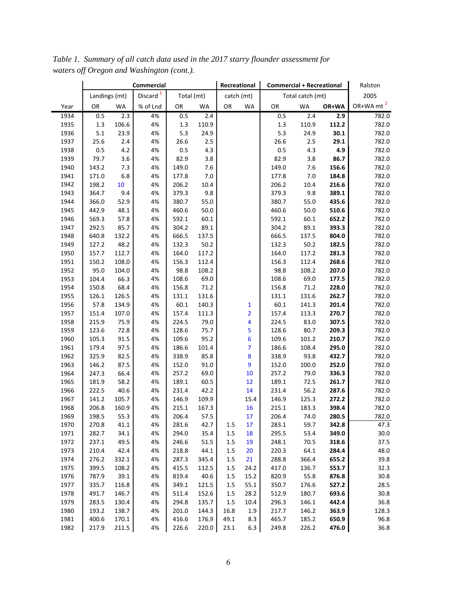*Table 1. Summary of all catch data used in the 2017 starry flounder assessment for waters off Oregon and Washington (cont.).*

|      |               | Commercial |                      |            |           |            | Recreational<br><b>Commercial + Recreational</b> |       |                  | Ralston |                       |
|------|---------------|------------|----------------------|------------|-----------|------------|--------------------------------------------------|-------|------------------|---------|-----------------------|
|      | Landings (mt) |            | Discard <sup>1</sup> | Total (mt) |           | catch (mt) |                                                  |       | Total catch (mt) |         | 2005                  |
| Year | OR            | WA         | % of Lnd             | OR         | <b>WA</b> | OR         | <b>WA</b>                                        | OR    | <b>WA</b>        | OR+WA   | OR+WA mt <sup>2</sup> |
| 1934 | 0.5           | 2.3        | 4%                   | 0.5        | 2.4       |            |                                                  | 0.5   | 2.4              | 2.9     | 782.0                 |
| 1935 | 1.3           | 106.6      | 4%                   | 1.3        | 110.9     |            |                                                  | 1.3   | 110.9            | 112.2   | 782.0                 |
| 1936 | 5.1           | 23.9       | 4%                   | 5.3        | 24.9      |            |                                                  | 5.3   | 24.9             | 30.1    | 782.0                 |
| 1937 | 25.6          | 2.4        | 4%                   | 26.6       | 2.5       |            |                                                  | 26.6  | 2.5              | 29.1    | 782.0                 |
| 1938 | 0.5           | 4.2        | 4%                   | 0.5        | 4.3       |            |                                                  | 0.5   | 4.3              | 4.9     | 782.0                 |
| 1939 | 79.7          | 3.6        | 4%                   | 82.9       | 3.8       |            |                                                  | 82.9  | 3.8              | 86.7    | 782.0                 |
| 1940 | 143.2         | 7.3        | 4%                   | 149.0      | 7.6       |            |                                                  | 149.0 | 7.6              | 156.6   | 782.0                 |
| 1941 | 171.0         | 6.8        | 4%                   | 177.8      | 7.0       |            |                                                  | 177.8 | $7.0$            | 184.8   | 782.0                 |
| 1942 | 198.2         | 10         | 4%                   | 206.2      | 10.4      |            |                                                  | 206.2 | 10.4             | 216.6   | 782.0                 |
| 1943 | 364.7         | 9.4        | 4%                   | 379.3      | 9.8       |            |                                                  | 379.3 | 9.8              | 389.1   | 782.0                 |
| 1944 | 366.0         | 52.9       | 4%                   | 380.7      | 55.0      |            |                                                  | 380.7 | 55.0             | 435.6   | 782.0                 |
| 1945 | 442.9         | 48.1       | 4%                   | 460.6      | 50.0      |            |                                                  | 460.6 | 50.0             | 510.6   | 782.0                 |
| 1946 | 569.3         | 57.8       | 4%                   | 592.1      | 60.1      |            |                                                  | 592.1 | 60.1             | 652.2   | 782.0                 |
| 1947 | 292.5         | 85.7       | 4%                   | 304.2      | 89.1      |            |                                                  | 304.2 | 89.1             | 393.3   | 782.0                 |
| 1948 | 640.8         | 132.2      | 4%                   | 666.5      | 137.5     |            |                                                  | 666.5 | 137.5            | 804.0   | 782.0                 |
| 1949 | 127.2         | 48.2       | 4%                   | 132.3      | 50.2      |            |                                                  | 132.3 | 50.2             | 182.5   | 782.0                 |
| 1950 | 157.7         | 112.7      | 4%                   | 164.0      | 117.2     |            |                                                  | 164.0 | 117.2            | 281.3   | 782.0                 |
| 1951 | 150.2         | 108.0      | 4%                   | 156.3      | 112.4     |            |                                                  | 156.3 | 112.4            | 268.6   | 782.0                 |
| 1952 | 95.0          | 104.0      | 4%                   | 98.8       | 108.2     |            |                                                  | 98.8  | 108.2            | 207.0   | 782.0                 |
| 1953 | 104.4         | 66.3       | 4%                   | 108.6      | 69.0      |            |                                                  | 108.6 | 69.0             | 177.5   | 782.0                 |
| 1954 | 150.8         | 68.4       | 4%                   | 156.8      | 71.2      |            |                                                  | 156.8 | 71.2             | 228.0   | 782.0                 |
| 1955 | 126.1         | 126.5      | 4%                   | 131.1      | 131.6     |            |                                                  | 131.1 | 131.6            | 262.7   | 782.0                 |
| 1956 | 57.8          | 134.9      | 4%                   | 60.1       | 140.3     |            | 1                                                | 60.1  | 141.3            | 201.4   | 782.0                 |
| 1957 | 151.4         | 107.0      | 4%                   | 157.4      | 111.3     |            | $\overline{2}$                                   | 157.4 | 113.3            | 270.7   | 782.0                 |
| 1958 | 215.9         | 75.9       | 4%                   | 224.5      | 79.0      |            | 4                                                | 224.5 | 83.0             | 307.5   | 782.0                 |
| 1959 | 123.6         | 72.8       | 4%                   | 128.6      | 75.7      |            | 5                                                | 128.6 | 80.7             | 209.3   | 782.0                 |
| 1960 | 105.3         | 91.5       | 4%                   | 109.6      | 95.2      |            | 6                                                | 109.6 | 101.2            | 210.7   | 782.0                 |
| 1961 | 179.4         | 97.5       | 4%                   | 186.6      | 101.4     |            | 7                                                | 186.6 | 108.4            | 295.0   | 782.0                 |
| 1962 | 325.9         | 82.5       | 4%                   | 338.9      | 85.8      |            | 8                                                | 338.9 | 93.8             | 432.7   | 782.0                 |
| 1963 | 146.2         | 87.5       | 4%                   | 152.0      | 91.0      |            | 9                                                | 152.0 | 100.0            | 252.0   | 782.0                 |
| 1964 | 247.3         | 66.4       | 4%                   | 257.2      | 69.0      |            | 10                                               | 257.2 | 79.0             | 336.3   | 782.0                 |
| 1965 | 181.9         | 58.2       | 4%                   | 189.1      | 60.5      |            | 12                                               | 189.1 | 72.5             | 261.7   | 782.0                 |
| 1966 | 222.5         | 40.6       | 4%                   | 231.4      | 42.2      |            | 14                                               | 231.4 | 56.2             | 287.6   | 782.0                 |
| 1967 | 141.2         | 105.7      | 4%                   | 146.9      | 109.9     |            | 15.4                                             | 146.9 | 125.3            | 272.2   | 782.0                 |
| 1968 | 206.8         | 160.9      | 4%                   | 215.1      | 167.3     |            | 16                                               | 215.1 | 183.3            | 398.4   | 782.0                 |
| 1969 | 198.5         | 55.3       | 4%                   | 206.4      | 57.5      |            | 17                                               | 206.4 | 74.0             | 280.5   | 782.0                 |
| 1970 | 270.8         | 41.1       | 4%                   | 281.6      | 42.7      | 1.5        | 17                                               | 283.1 | 59.7             | 342.8   | 47.3                  |
| 1971 | 282.7         | 34.1       | 4%                   | 294.0      | 35.4      | 1.5        | 18                                               | 295.5 | 53.4             | 349.0   | 30.0                  |
| 1972 | 237.1         | 49.5       | 4%                   | 246.6      | 51.5      | 1.5        | 19                                               | 248.1 | 70.5             | 318.6   | 37.5                  |
| 1973 | 210.4         | 42.4       | 4%                   | 218.8      | 44.1      | 1.5        | 20                                               | 220.3 | 64.1             | 284.4   | 48.0                  |
| 1974 | 276.2         | 332.1      | 4%                   | 287.3      | 345.4     | 1.5        | 21                                               | 288.8 | 366.4            | 655.2   | 39.8                  |
| 1975 | 399.5         | 108.2      | 4%                   | 415.5      | 112.5     | 1.5        | 24.2                                             | 417.0 | 136.7            | 553.7   | 32.3                  |
| 1976 | 787.9         | 39.1       | 4%                   | 819.4      | 40.6      | 1.5        | 15.2                                             | 820.9 | 55.8             | 876.8   | 30.8                  |
| 1977 | 335.7         | 116.8      | 4%                   | 349.1      | 121.5     | 1.5        | 55.1                                             | 350.7 | 176.6            | 527.2   | 28.5                  |
| 1978 | 491.7         | 146.7      | 4%                   | 511.4      | 152.6     | 1.5        | 28.2                                             | 512.9 | 180.7            | 693.6   | 30.8                  |
| 1979 | 283.5         | 130.4      | 4%                   | 294.8      | 135.7     | 1.5        | 10.4                                             | 296.3 | 146.1            | 442.4   | 36.8                  |
| 1980 | 193.2         | 138.7      | 4%                   | 201.0      | 144.3     | 16.8       | 1.9                                              | 217.7 | 146.2            | 363.9   | 128.3                 |
| 1981 | 400.6         | 170.1      | 4%                   | 416.6      | 176.9     | 49.1       | 8.3                                              | 465.7 | 185.2            | 650.9   | 96.8                  |
| 1982 | 217.9         | 211.5      | 4%                   | 226.6      | 220.0     | 23.1       | 6.3                                              | 249.8 | 226.2            | 476.0   | 36.8                  |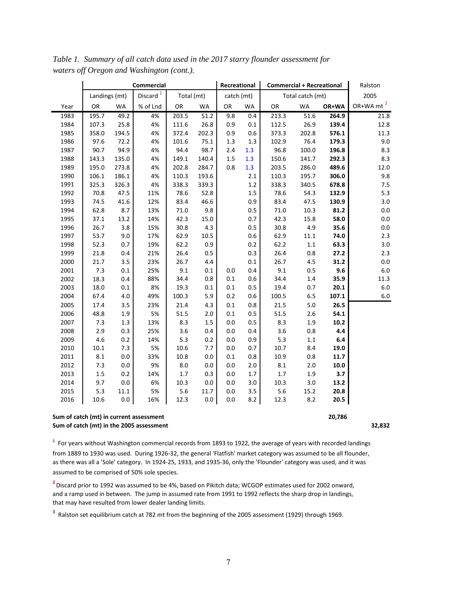|      |                                                   | <b>Commercial</b> |                      |            |           |            | Recreational | <b>Commercial + Recreational</b> |                  |         | Ralston               |
|------|---------------------------------------------------|-------------------|----------------------|------------|-----------|------------|--------------|----------------------------------|------------------|---------|-----------------------|
|      | Landings (mt)                                     |                   | Discard <sup>1</sup> | Total (mt) |           | catch (mt) |              |                                  | Total catch (mt) |         | 2005                  |
| Year | OR                                                | <b>WA</b>         | % of Lnd             | OR         | <b>WA</b> | OR         | WA           | OR                               | <b>WA</b>        | OR+WA   | OR+WA mt <sup>2</sup> |
| 1983 | 195.7                                             | 49.2              | 4%                   | 203.5      | 51.2      | 9.8        | 0.4          | 213.3                            | 51.6             | 264.9   | 21.8                  |
| 1984 | 107.3                                             | 25.8              | 4%                   | 111.6      | 26.8      | 0.9        | $0.1\,$      | 112.5                            | 26.9             | 139.4   | 12.8                  |
| 1985 | 358.0                                             | 194.5             | 4%                   | 372.4      | 202.3     | 0.9        | 0.6          | 373.3                            | 202.8            | 576.1   | 11.3                  |
| 1986 | 97.6                                              | 72.2              | 4%                   | 101.6      | 75.1      | 1.3        | 1.3          | 102.9                            | 76.4             | 179.3   | 9.0                   |
| 1987 | 90.7                                              | 94.9              | 4%                   | 94.4       | 98.7      | 2.4        | 1.3          | 96.8                             | 100.0            | 196.8   | 8.3                   |
| 1988 | 143.3                                             | 135.0             | 4%                   | 149.1      | 140.4     | 1.5        | 1.3          | 150.6                            | 141.7            | 292.3   | 8.3                   |
| 1989 | 195.0                                             | 273.8             | 4%                   | 202.8      | 284.7     | 0.8        | 1.3          | 203.5                            | 286.0            | 489.6   | 12.0                  |
| 1990 | 106.1                                             | 186.1             | 4%                   | 110.3      | 193.6     |            | 2.1          | 110.3                            | 195.7            | 306.0   | 9.8                   |
| 1991 | 325.3                                             | 326.3             | 4%                   | 338.3      | 339.3     |            | 1.2          | 338.3                            | 340.5            | 678.8   | 7.5                   |
| 1992 | 70.8                                              | 47.5              | 11%                  | 78.6       | 52.8      |            | 1.5          | 78.6                             | 54.3             | 132.9   | 5.3                   |
| 1993 | 74.5                                              | 41.6              | 12%                  | 83.4       | 46.6      |            | 0.9          | 83.4                             | 47.5             | 130.9   | 3.0                   |
| 1994 | 62.8                                              | 8.7               | 13%                  | 71.0       | 9.8       |            | 0.5          | 71.0                             | 10.3             | 81.2    | $0.0\,$               |
| 1995 | 37.1                                              | 13.2              | 14%                  | 42.3       | 15.0      |            | 0.7          | 42.3                             | 15.8             | 58.0    | $0.0\,$               |
| 1996 | 26.7                                              | 3.8               | 15%                  | 30.8       | 4.3       |            | $0.5\,$      | 30.8                             | 4.9              | 35.6    | 0.0                   |
| 1997 | 53.7                                              | 9.0               | 17%                  | 62.9       | 10.5      |            | 0.6          | 62.9                             | 11.1             | 74.0    | 2.3                   |
| 1998 | 52.3                                              | 0.7               | 19%                  | 62.2       | 0.9       |            | 0.2          | 62.2                             | $1.1\,$          | 63.3    | 3.0                   |
| 1999 | 21.8                                              | 0.4               | 21%                  | 26.4       | 0.5       |            | 0.3          | 26.4                             | 0.8              | 27.2    | 2.3                   |
| 2000 | 21.7                                              | 3.5               | 23%                  | 26.7       | 4.4       |            | 0.1          | 26.7                             | 4.5              | 31.2    | 0.0                   |
| 2001 | 7.3                                               | 0.1               | 25%                  | 9.1        | 0.1       | 0.0        | 0.4          | 9.1                              | 0.5              | 9.6     | $6.0\,$               |
| 2002 | 18.3                                              | 0.4               | 88%                  | 34.4       | 0.8       | 0.1        | 0.6          | 34.4                             | 1.4              | 35.9    | 11.3                  |
| 2003 | 18.0                                              | 0.1               | 8%                   | 19.3       | 0.1       | 0.1        | 0.5          | 19.4                             | 0.7              | 20.1    | $6.0\,$               |
| 2004 | 67.4                                              | 4.0               | 49%                  | 100.3      | 5.9       | 0.2        | 0.6          | 100.5                            | $6.5\,$          | 107.1   | $6.0\,$               |
| 2005 | 17.4                                              | 3.5               | 23%                  | 21.4       | 4.3       | 0.1        | $0.8\,$      | 21.5                             | 5.0              | 26.5    |                       |
| 2006 | 48.8                                              | 1.9               | 5%                   | 51.5       | 2.0       | 0.1        | 0.5          | 51.5                             | 2.6              | 54.1    |                       |
| 2007 | 7.3                                               | 1.3               | 13%                  | 8.3        | 1.5       | 0.0        | 0.5          | 8.3                              | 1.9              | 10.2    |                       |
| 2008 | 2.9                                               | 0.3               | 25%                  | 3.6        | 0.4       | 0.0        | 0.4          | 3.6                              | 0.8              | 4.4     |                       |
| 2009 | 4.6                                               | 0.2               | 14%                  | 5.3        | 0.2       | 0.0        | 0.9          | 5.3                              | $1.1\,$          | $6.4\,$ |                       |
| 2010 | 10.1                                              | 7.3               | 5%                   | 10.6       | 7.7       | 0.0        | 0.7          | 10.7                             | 8.4              | 19.0    |                       |
| 2011 | 8.1                                               | $0.0\,$           | 33%                  | 10.8       | 0.0       | 0.1        | $0.8\,$      | 10.9                             | 0.8              | 11.7    |                       |
| 2012 | 7.3                                               | 0.0               | 9%                   | 8.0        | 0.0       | 0.0        | 2.0          | 8.1                              | 2.0              | 10.0    |                       |
| 2013 | 1.5                                               | 0.2               | 14%                  | 1.7        | 0.3       | 0.0        | 1.7          | 1.7                              | 1.9              | 3.7     |                       |
| 2014 | 9.7                                               | 0.0               | 6%                   | 10.3       | 0.0       | 0.0        | 3.0          | 10.3                             | 3.0              | 13.2    |                       |
| 2015 | 5.3                                               | 11.1              | 5%                   | 5.6        | 11.7      | 0.0        | 3.5          | 5.6                              | 15.2             | 20.8    |                       |
| 2016 | 10.6                                              | 0.0               | 16%                  | 12.3       | 0.0       | 0.0        | 8.2          | 12.3                             | 8.2              | 20.5    |                       |
|      | Sum of catch (mt) in current assessment<br>20,786 |                   |                      |            |           |            |              |                                  |                  |         |                       |

*Table 1. Summary of all catch data used in the 2017 starry flounder assessment for waters off Oregon and Washington (cont.).*

**Sum of catch (mt) in the 2005 assessment 32,832**

**1** For years without Washington commercial records from 1893 to 1922, the average of years with recorded landings from 1889 to 1930 was used. During 1926-32, the general 'Flatfish' market category was assumed to be all flounder, as there was all a 'Sole' category. In 1924-25, 1933, and 1935-36, only the 'Flounder' category was used, and it was assumed to be comprised of 50% sole species.

**2** Discard prior to 1992 was assumed to be 4%, based on Pikitch data; WCGOP estimates used for 2002 onward, and a ramp used in between. The jump in assumed rate from 1991 to 1992 reflects the sharp drop in landings, that may have resulted from lower dealer landing limits.

**3** Ralston set equilibrium catch at 782 mt from the beginning of the 2005 assessment (1929) through 1969.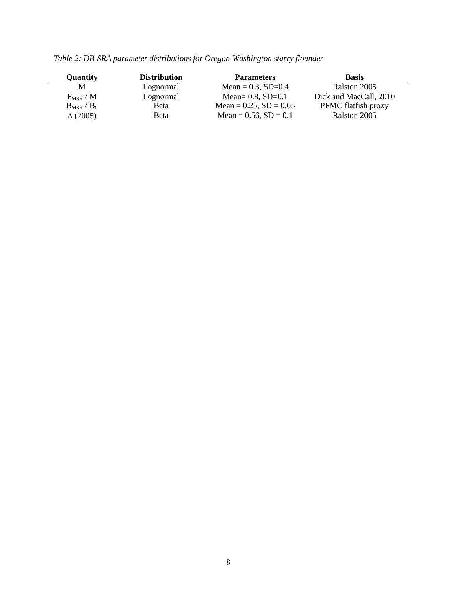| <b>Quantity</b> | <b>Distribution</b> | <b>Parameters</b>           | <b>Basis</b>           |
|-----------------|---------------------|-----------------------------|------------------------|
| М               | Lognormal           | Mean = $0.3$ , SD= $0.4$    | Ralston 2005           |
| $F_{MSY} / M$   | Lognormal           | Mean= $0.8$ , SD= $0.1$     | Dick and MacCall, 2010 |
| $B_{MSY} / B_0$ | <b>Beta</b>         | Mean = $0.25$ , SD = $0.05$ | PFMC flatfish proxy    |
| $\Delta(2005)$  | Beta                | Mean = $0.56$ , SD = $0.1$  | Ralston 2005           |

*Table 2: DB-SRA parameter distributions for Oregon-Washington starry flounder*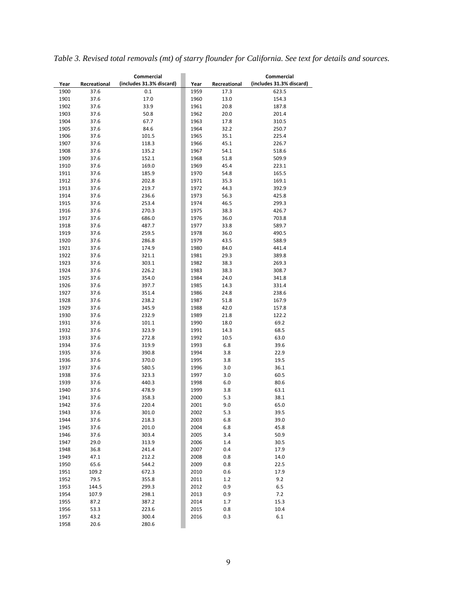|  | Table 3. Revised total removals (mt) of starry flounder for California. See text for details and sources. |  |  |  |  |  |
|--|-----------------------------------------------------------------------------------------------------------|--|--|--|--|--|
|  |                                                                                                           |  |  |  |  |  |

|              |              | Commercial               |      |              | Commercial               |
|--------------|--------------|--------------------------|------|--------------|--------------------------|
| Year         | Recreational | (includes 31.3% discard) | Year | Recreational | (includes 31.3% discard) |
| 1900         | 37.6         | 0.1                      | 1959 | 17.3         | 623.5                    |
| 1901         | 37.6         | 17.0                     | 1960 | 13.0         | 154.3                    |
| 1902         | 37.6         | 33.9                     | 1961 | 20.8         | 187.8                    |
| 1903         | 37.6         | 50.8                     | 1962 | 20.0         | 201.4                    |
| 1904         | 37.6         | 67.7                     | 1963 | 17.8         | 310.5                    |
| 1905         | 37.6         | 84.6                     | 1964 | 32.2         | 250.7                    |
| 1906         | 37.6         | 101.5                    | 1965 | 35.1         | 225.4                    |
| 1907         | 37.6         | 118.3                    | 1966 | 45.1         | 226.7                    |
| 1908         | 37.6         | 135.2                    | 1967 | 54.1         | 518.6                    |
| 1909         | 37.6         | 152.1                    | 1968 | 51.8         | 509.9                    |
| 1910         | 37.6         | 169.0                    | 1969 | 45.4         | 223.1                    |
| 1911         | 37.6         | 185.9                    | 1970 | 54.8         | 165.5                    |
| 1912         | 37.6         | 202.8                    | 1971 | 35.3         | 169.1                    |
| 1913         | 37.6         | 219.7                    | 1972 | 44.3         | 392.9                    |
| 1914         | 37.6         | 236.6                    | 1973 | 56.3         | 425.8                    |
| 1915         | 37.6         | 253.4                    | 1974 | 46.5         | 299.3                    |
| 1916         | 37.6         | 270.3                    | 1975 | 38.3         | 426.7                    |
| 1917         | 37.6         | 686.0                    | 1976 | 36.0         | 703.8                    |
|              |              |                          |      |              |                          |
| 1918<br>1919 | 37.6         | 487.7<br>259.5           | 1977 | 33.8         | 589.7                    |
|              | 37.6         |                          | 1978 | 36.0         | 490.5                    |
| 1920         | 37.6         | 286.8                    | 1979 | 43.5         | 588.9                    |
| 1921         | 37.6         | 174.9                    | 1980 | 84.0         | 441.4                    |
| 1922         | 37.6         | 321.1                    | 1981 | 29.3         | 389.8                    |
| 1923         | 37.6         | 303.1                    | 1982 | 38.3         | 269.3                    |
| 1924         | 37.6         | 226.2                    | 1983 | 38.3         | 308.7                    |
| 1925         | 37.6         | 354.0                    | 1984 | 24.0         | 341.8                    |
| 1926         | 37.6         | 397.7                    | 1985 | 14.3         | 331.4                    |
| 1927         | 37.6         | 351.4                    | 1986 | 24.8         | 238.6                    |
| 1928         | 37.6         | 238.2                    | 1987 | 51.8         | 167.9                    |
| 1929         | 37.6         | 345.9                    | 1988 | 42.0         | 157.8                    |
| 1930         | 37.6         | 232.9                    | 1989 | 21.8         | 122.2                    |
| 1931         | 37.6         | 101.1                    | 1990 | 18.0         | 69.2                     |
| 1932         | 37.6         | 323.9                    | 1991 | 14.3         | 68.5                     |
| 1933         | 37.6         | 272.8                    | 1992 | 10.5         | 63.0                     |
| 1934         | 37.6         | 319.9                    | 1993 | 6.8          | 39.6                     |
| 1935         | 37.6         | 390.8                    | 1994 | 3.8          | 22.9                     |
| 1936         | 37.6         | 370.0                    | 1995 | 3.8          | 19.5                     |
| 1937         | 37.6         | 580.5                    | 1996 | 3.0          | 36.1                     |
| 1938         | 37.6         | 323.3                    | 1997 | 3.0          | 60.5                     |
| 1939         | 37.6         | 440.3                    | 1998 | 6.0          | 80.6                     |
| 1940         | 37.6         | 478.9                    | 1999 | 3.8          | 63.1                     |
| 1941         | 37.6         | 358.3                    | 2000 | 5.3          | 38.1                     |
| 1942         | 37.6         | 220.4                    | 2001 | 9.0          | 65.0                     |
| 1943         | 37.6         | 301.0                    | 2002 | 5.3          | 39.5                     |
| 1944         | 37.6         | 218.3                    | 2003 | 6.8          | 39.0                     |
| 1945         | 37.6         | 201.0                    | 2004 | 6.8          | 45.8                     |
| 1946         | 37.6         | 303.4                    | 2005 | 3.4          | 50.9                     |
| 1947         | 29.0         | 313.9                    | 2006 | 1.4          | 30.5                     |
| 1948         | 36.8         | 241.4                    | 2007 | 0.4          | 17.9                     |
|              |              |                          |      |              |                          |
| 1949         | 47.1         | 212.2                    | 2008 | 0.8          | 14.0                     |
| 1950         | 65.6         | 544.2                    | 2009 | 0.8          | 22.5                     |
| 1951         | 109.2        | 672.3                    | 2010 | 0.6          | 17.9                     |
| 1952         | 79.5         | 355.8                    | 2011 | $1.2\,$      | 9.2                      |
| 1953         | 144.5        | 299.3                    | 2012 | 0.9          | 6.5                      |
| 1954         | 107.9        | 298.1                    | 2013 | 0.9          | 7.2                      |
| 1955         | 87.2         | 387.2                    | 2014 | 1.7          | 15.3                     |
| 1956         | 53.3         | 223.6                    | 2015 | 0.8          | 10.4                     |
| 1957         | 43.2         | 300.4                    | 2016 | 0.3          | $6.1\,$                  |
| 1958         | 20.6         | 280.6                    |      |              |                          |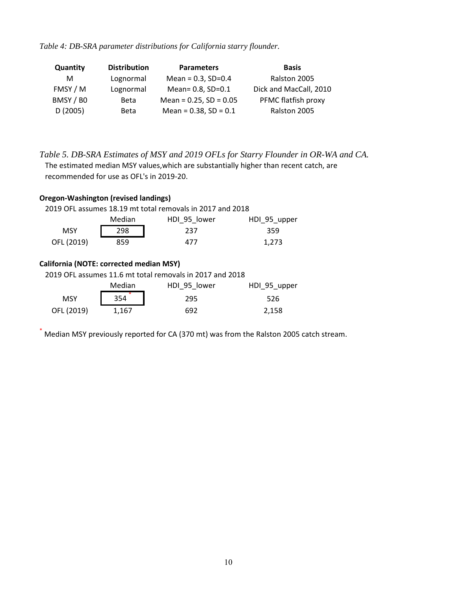*Table 4: DB-SRA parameter distributions for California starry flounder.*

| Quantity  | <b>Distribution</b> | <b>Parameters</b>           | <b>Basis</b>           |
|-----------|---------------------|-----------------------------|------------------------|
| M         | Lognormal           | Mean = $0.3$ , SD= $0.4$    | Ralston 2005           |
| FMSY / M  | Lognormal           | Mean= 0.8, SD=0.1           | Dick and MacCall, 2010 |
| BMSY / BO | <b>Beta</b>         | Mean = $0.25$ , SD = $0.05$ | PFMC flatfish proxy    |
| D(2005)   | <b>Beta</b>         | Mean = $0.38$ , SD = $0.1$  | Ralston 2005           |

*Table 5. DB-SRA Estimates of MSY and 2019 OFLs for Starry Flounder in OR-WA and CA.* The estimated median MSY values,which are substantially higher than recent catch, are recommended for use as OFL's in 2019-20.

| <b>Oregon-Washington (revised landings)</b><br>2019 OFL assumes 18.19 mt total removals in 2017 and 2018 |                                        |              |              |  |  |  |  |  |
|----------------------------------------------------------------------------------------------------------|----------------------------------------|--------------|--------------|--|--|--|--|--|
|                                                                                                          | Median<br>HDI 95 lower<br>HDI 95 upper |              |              |  |  |  |  |  |
| <b>MSY</b>                                                                                               | 298                                    | 237          | 359          |  |  |  |  |  |
| OFL (2019)                                                                                               | 859                                    | 477          | 1,273        |  |  |  |  |  |
| California (NOTE: corrected median MSY)<br>2019 OFL assumes 11.6 mt total removals in 2017 and 2018      |                                        |              |              |  |  |  |  |  |
|                                                                                                          | Median                                 | HDI 95 lower | HDI 95 upper |  |  |  |  |  |
| <b>MSY</b>                                                                                               | 354                                    | 295          | 526          |  |  |  |  |  |
| OFL (2019)                                                                                               | 1,167                                  | 692          | 2,158        |  |  |  |  |  |
|                                                                                                          |                                        |              |              |  |  |  |  |  |

Median MSY previously reported for CA (370 mt) was from the Ralston 2005 catch stream.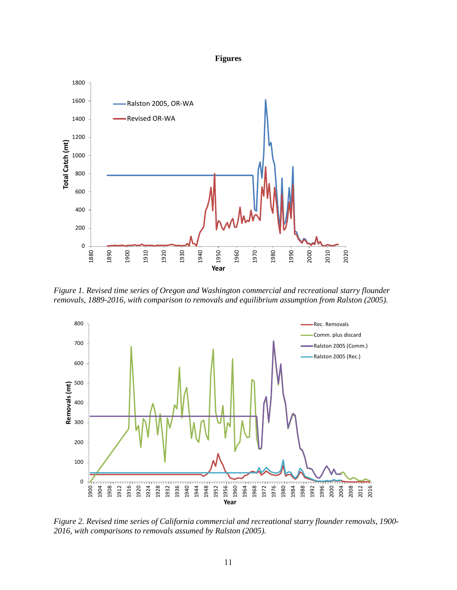#### **Figures**



*Figure 1. Revised time series of Oregon and Washington commercial and recreational starry flounder removals, 1889-2016, with comparison to removals and equilibrium assumption from Ralston (2005).* 



*Figure 2. Revised time series of California commercial and recreational starry flounder removals, 1900- 2016, with comparisons to removals assumed by Ralston (2005).*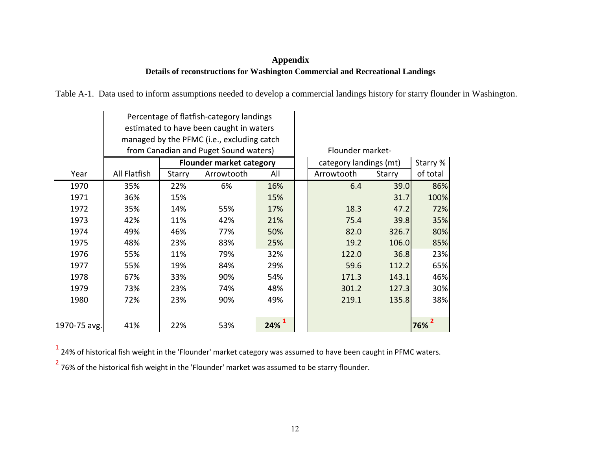# **Appendix Details of reconstructions for Washington Commercial and Recreational Landings**

Table A-1. Data used to inform assumptions needed to develop a commercial landings history for starry flounder in Washington.

|              |              |        | Percentage of flatfish-category landings<br>estimated to have been caught in waters<br>managed by the PFMC (i.e., excluding catch<br>from Canadian and Puget Sound waters) | Flounder market- |                        |        |          |
|--------------|--------------|--------|----------------------------------------------------------------------------------------------------------------------------------------------------------------------------|------------------|------------------------|--------|----------|
|              |              |        | <b>Flounder market category</b>                                                                                                                                            |                  | category landings (mt) |        | Starry % |
| Year         | All Flatfish | Starry | Arrowtooth                                                                                                                                                                 | All              | Arrowtooth             | Starry | of total |
| 1970         | 35%          | 22%    | 6%                                                                                                                                                                         | 16%              | 6.4                    | 39.0   | 86%      |
| 1971         | 36%          | 15%    |                                                                                                                                                                            | 15%              |                        | 31.7   | 100%     |
| 1972         | 35%          | 14%    | 55%                                                                                                                                                                        | 17%              | 18.3                   | 47.2   | 72%      |
| 1973         | 42%          | 11%    | 42%                                                                                                                                                                        | 21%              | 75.4                   | 39.8   | 35%      |
| 1974         | 49%          | 46%    | 77%                                                                                                                                                                        | 50%              | 82.0                   | 326.7  | 80%      |
| 1975         | 48%          | 23%    | 83%                                                                                                                                                                        | 25%              | 19.2                   | 106.0  | 85%      |
| 1976         | 55%          | 11%    | 79%                                                                                                                                                                        | 32%              | 122.0                  | 36.8   | 23%      |
| 1977         | 55%          | 19%    | 84%                                                                                                                                                                        | 29%              | 59.6                   | 112.2  | 65%      |
| 1978         | 67%          | 33%    | 90%                                                                                                                                                                        | 54%              | 171.3                  | 143.1  | 46%      |
| 1979         | 73%          | 23%    | 74%                                                                                                                                                                        | 48%              | 301.2                  | 127.3  | 30%      |
| 1980         | 72%          | 23%    | 90%                                                                                                                                                                        | 49%              | 219.1                  | 135.8  | 38%      |
| 1970-75 avg. | 41%          | 22%    | 53%                                                                                                                                                                        | 24%              |                        |        | 76%      |

 $<sup>1</sup>$  24% of historical fish weight in the 'Flounder' market category was assumed to have been caught in PFMC waters.</sup>

 $2$  76% of the historical fish weight in the 'Flounder' market was assumed to be starry flounder.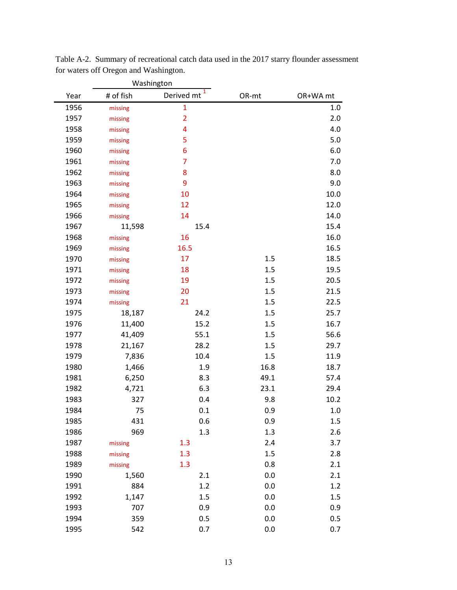|      | Washington |                         |       |          |
|------|------------|-------------------------|-------|----------|
| Year | # of fish  | 1<br>Derived mt         | OR-mt | OR+WA mt |
| 1956 | missing    | $\mathbf{1}$            |       | $1.0\,$  |
| 1957 | missing    | $\overline{2}$          |       | 2.0      |
| 1958 | missing    | $\overline{\mathbf{4}}$ |       | 4.0      |
| 1959 | missing    | 5                       |       | 5.0      |
| 1960 | missing    | $6\phantom{1}6$         |       | 6.0      |
| 1961 | missing    | $\overline{7}$          |       | 7.0      |
| 1962 | missing    | 8                       |       | 8.0      |
| 1963 | missing    | 9                       |       | 9.0      |
| 1964 | missing    | 10                      |       | 10.0     |
| 1965 | missing    | 12                      |       | 12.0     |
| 1966 | missing    | 14                      |       | 14.0     |
| 1967 | 11,598     | 15.4                    |       | 15.4     |
| 1968 | missing    | 16                      |       | 16.0     |
| 1969 | missing    | 16.5                    |       | 16.5     |
| 1970 | missing    | 17                      | 1.5   | 18.5     |
| 1971 | missing    | 18                      | 1.5   | 19.5     |
| 1972 | missing    | 19                      | 1.5   | 20.5     |
| 1973 | missing    | 20                      | 1.5   | 21.5     |
| 1974 | missing    | 21                      | 1.5   | 22.5     |
| 1975 | 18,187     | 24.2                    | 1.5   | 25.7     |
| 1976 | 11,400     | 15.2                    | 1.5   | 16.7     |
| 1977 | 41,409     | 55.1                    | 1.5   | 56.6     |
| 1978 | 21,167     | 28.2                    | 1.5   | 29.7     |
| 1979 | 7,836      | 10.4                    | 1.5   | 11.9     |
| 1980 | 1,466      | 1.9                     | 16.8  | 18.7     |
| 1981 | 6,250      | 8.3                     | 49.1  | 57.4     |
| 1982 | 4,721      | 6.3                     | 23.1  | 29.4     |
| 1983 | 327        | 0.4                     | 9.8   | 10.2     |
| 1984 | 75         | 0.1                     | 0.9   | 1.0      |
| 1985 | 431        | 0.6                     | 0.9   | 1.5      |
| 1986 | 969        | 1.3                     | 1.3   | 2.6      |
| 1987 | missing    | 1.3                     | 2.4   | 3.7      |
| 1988 | missing    | 1.3                     | 1.5   | 2.8      |
| 1989 | missing    | 1.3                     | 0.8   | 2.1      |
| 1990 | 1,560      | 2.1                     | 0.0   | 2.1      |
| 1991 | 884        | 1.2                     | 0.0   | 1.2      |
| 1992 | 1,147      | 1.5                     | 0.0   | 1.5      |
| 1993 | 707        | 0.9                     | 0.0   | 0.9      |
| 1994 | 359        | 0.5                     | 0.0   | 0.5      |
| 1995 | 542        | 0.7                     | 0.0   | 0.7      |

Table A-2. Summary of recreational catch data used in the 2017 starry flounder assessment for waters off Oregon and Washington.